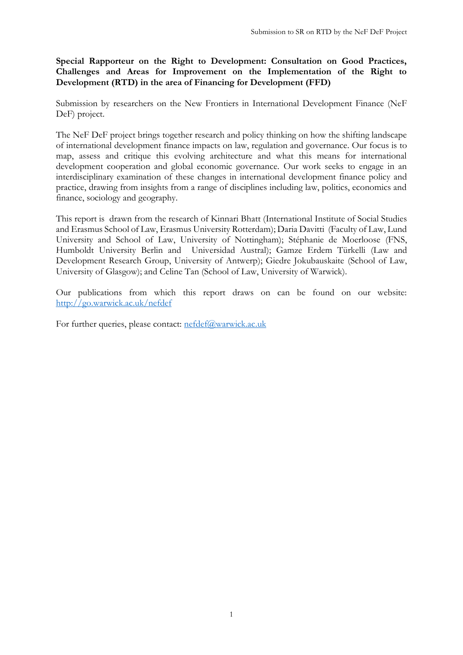**Special Rapporteur on the Right to Development: Consultation on Good Practices, Challenges and Areas for Improvement on the Implementation of the Right to Development (RTD) in the area of Financing for Development (FFD)**

Submission by researchers on the New Frontiers in International Development Finance (NeF DeF) project.

The NeF DeF project brings together research and policy thinking on how the shifting landscape of international development finance impacts on law, regulation and governance. Our focus is to map, assess and critique this evolving architecture and what this means for international development cooperation and global economic governance. Our work seeks to engage in an interdisciplinary examination of these changes in international development finance policy and practice, drawing from insights from a range of disciplines including law, politics, economics and finance, sociology and geography.

This report is drawn from the research of Kinnari Bhatt (International Institute of Social Studies and Erasmus School of Law, Erasmus University Rotterdam); Daria Davitti (Faculty of Law, Lund University and School of Law, University of Nottingham); Stéphanie de Moerloose (FNS, Humboldt University Berlin and Universidad Austral); Gamze Erdem Türkelli (Law and Development Research Group, University of Antwerp); Giedre Jokubauskaite (School of Law, University of Glasgow); and Celine Tan (School of Law, University of Warwick).

Our publications from which this report draws on can be found on our website: <http://go.warwick.ac.uk/nefdef>

For further queries, please contact: [nefdef@warwick.ac.uk](mailto:nefdef@warwick.ac.uk)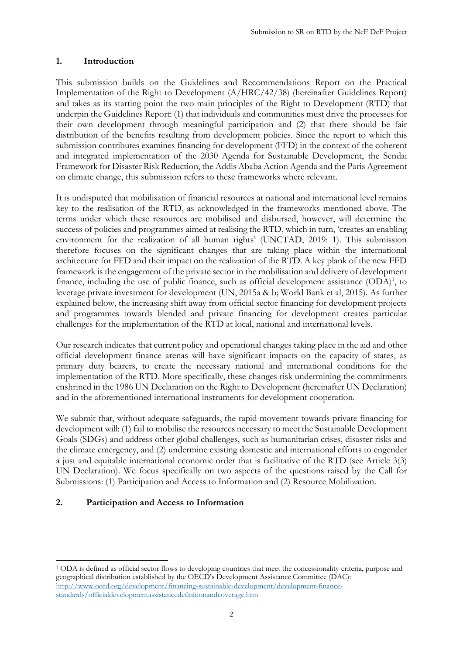## **1. Introduction**

This submission builds on the Guidelines and Recommendations Report on the Practical Implementation of the Right to Development (A/HRC/42/38) (hereinafter Guidelines Report) and takes as its starting point the two main principles of the Right to Development (RTD) that underpin the Guidelines Report: (1) that individuals and communities must drive the processes for their own development through meaningful participation and (2) that there should be fair distribution of the benefits resulting from development policies. Since the report to which this submission contributes examines financing for development (FFD) in the context of the coherent and integrated implementation of the 2030 Agenda for Sustainable Development, the Sendai Framework for Disaster Risk Reduction, the Addis Ababa Action Agenda and the Paris Agreement on climate change, this submission refers to these frameworks where relevant.

It is undisputed that mobilisation of financial resources at national and international level remains key to the realisation of the RTD, as acknowledged in the frameworks mentioned above. The terms under which these resources are mobilised and disbursed, however, will determine the success of policies and programmes aimed at realising the RTD, which in turn, 'creates an enabling environment for the realization of all human rights' (UNCTAD, 2019: 1). This submission therefore focuses on the significant changes that are taking place within the international architecture for FFD and their impact on the realization of the RTD. A key plank of the new FFD framework is the engagement of the private sector in the mobilisation and delivery of development finance, including the use of public finance, such as official development assistance  $(ODA)^1$ , to leverage private investment for development (UN, 2015a & b; World Bank et al, 2015). As further explained below, the increasing shift away from official sector financing for development projects and programmes towards blended and private financing for development creates particular challenges for the implementation of the RTD at local, national and international levels.

Our research indicates that current policy and operational changes taking place in the aid and other official development finance arenas will have significant impacts on the capacity of states, as primary duty bearers, to create the necessary national and international conditions for the implementation of the RTD. More specifically, these changes risk undermining the commitments enshrined in the 1986 UN Declaration on the Right to Development (hereinafter UN Declaration) and in the aforementioned international instruments for development cooperation.

We submit that, without adequate safeguards, the rapid movement towards private financing for development will: (1) fail to mobilise the resources necessary to meet the Sustainable Development Goals (SDGs) and address other global challenges, such as humanitarian crises, disaster risks and the climate emergency, and (2) undermine existing domestic and international efforts to engender a just and equitable international economic order that is facilitative of the RTD (see Article 3(3) UN Declaration). We focus specifically on two aspects of the questions raised by the Call for Submissions: (1) Participation and Access to Information and (2) Resource Mobilization.

# **2. Participation and Access to Information**

<sup>1</sup> ODA is defined as official sector flows to developing countries that meet the concessionality criteria, purpose and geographical distribution established by the OECD's Development Assistance Committee (DAC): [http://www.oecd.org/development/financing-sustainable-development/development-finance](http://www.oecd.org/development/financing-sustainable-development/development-finance-standards/officialdevelopmentassistancedefinitionandcoverage.htm)[standards/officialdevelopmentassistancedefinitionandcoverage.htm](http://www.oecd.org/development/financing-sustainable-development/development-finance-standards/officialdevelopmentassistancedefinitionandcoverage.htm)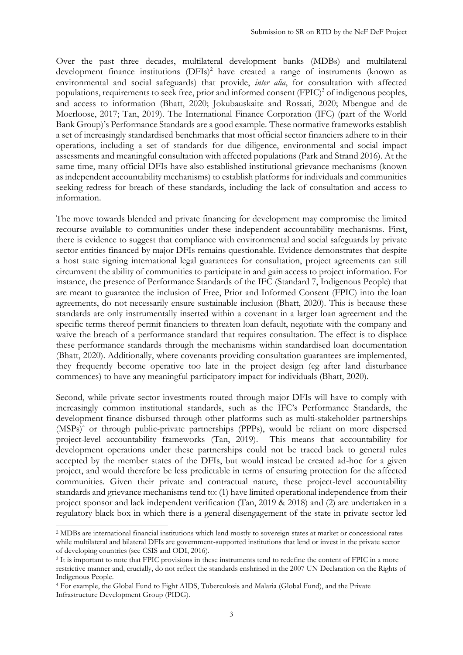Over the past three decades, multilateral development banks (MDBs) and multilateral development finance institutions (DFIs) <sup>2</sup> have created a range of instruments (known as environmental and social safeguards) that provide, *inter alia*, for consultation with affected populations, requirements to seek free, prior and informed consent (FPIC)<sup>3</sup> of indigenous peoples, and access to information (Bhatt, 2020; Jokubauskaite and Rossati, 2020; Mbengue and de Moerloose, 2017; Tan, 2019). The International Finance Corporation (IFC) (part of the World Bank Group)'s Performance Standards are a good example. These normative frameworks establish a set of increasingly standardised benchmarks that most official sector financiers adhere to in their operations, including a set of standards for due diligence, environmental and social impact assessments and meaningful consultation with affected populations (Park and Strand 2016). At the same time, many official DFIs have also established institutional grievance mechanisms (known as independent accountability mechanisms) to establish platforms for individuals and communities seeking redress for breach of these standards, including the lack of consultation and access to information.

The move towards blended and private financing for development may compromise the limited recourse available to communities under these independent accountability mechanisms. First, there is evidence to suggest that compliance with environmental and social safeguards by private sector entities financed by major DFIs remains questionable. Evidence demonstrates that despite a host state signing international legal guarantees for consultation, project agreements can still circumvent the ability of communities to participate in and gain access to project information. For instance, the presence of Performance Standards of the IFC (Standard 7, Indigenous People) that are meant to guarantee the inclusion of Free, Prior and Informed Consent (FPIC) into the loan agreements, do not necessarily ensure sustainable inclusion (Bhatt, 2020). This is because these standards are only instrumentally inserted within a covenant in a larger loan agreement and the specific terms thereof permit financiers to threaten loan default, negotiate with the company and waive the breach of a performance standard that requires consultation. The effect is to displace these performance standards through the mechanisms within standardised loan documentation (Bhatt, 2020). Additionally, where covenants providing consultation guarantees are implemented, they frequently become operative too late in the project design (eg after land disturbance commences) to have any meaningful participatory impact for individuals (Bhatt, 2020).

Second, while private sector investments routed through major DFIs will have to comply with increasingly common institutional standards, such as the IFC's Performance Standards, the development finance disbursed through other platforms such as multi-stakeholder partnerships (MSPs)<sup>4</sup> or through public-private partnerships (PPPs), would be reliant on more dispersed project-level accountability frameworks (Tan, 2019). This means that accountability for development operations under these partnerships could not be traced back to general rules accepted by the member states of the DFIs, but would instead be created ad-hoc for a given project, and would therefore be less predictable in terms of ensuring protection for the affected communities. Given their private and contractual nature, these project-level accountability standards and grievance mechanisms tend to: (1) have limited operational independence from their project sponsor and lack independent verification (Tan, 2019 & 2018) and (2) are undertaken in a regulatory black box in which there is a general disengagement of the state in private sector led

<sup>2</sup> MDBs are international financial institutions which lend mostly to sovereign states at market or concessional rates while multilateral and bilateral DFIs are government-supported institutions that lend or invest in the private sector of developing countries (see CSIS and ODI, 2016).

<sup>3</sup> It is important to note that FPIC provisions in these instruments tend to redefine the content of FPIC in a more restrictive manner and, crucially, do not reflect the standards enshrined in the 2007 UN Declaration on the Rights of Indigenous People.

<sup>4</sup> For example, the Global Fund to Fight AIDS, Tuberculosis and Malaria (Global Fund), and the Private Infrastructure Development Group (PIDG).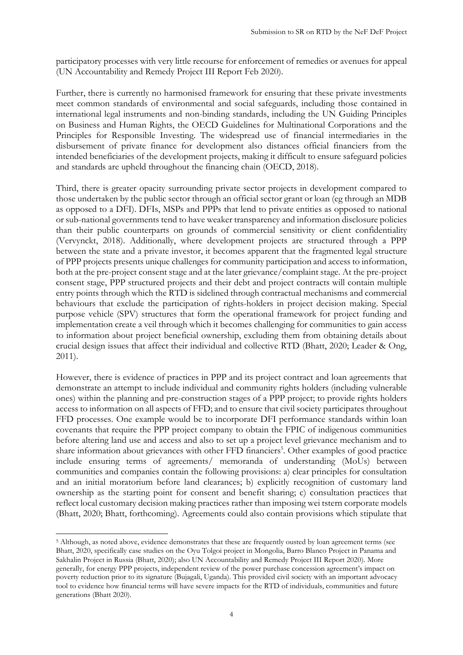participatory processes with very little recourse for enforcement of remedies or avenues for appeal (UN Accountability and Remedy Project III Report Feb 2020).

Further, there is currently no harmonised framework for ensuring that these private investments meet common standards of environmental and social safeguards, including those contained in international legal instruments and non-binding standards, including the UN Guiding Principles on Business and Human Rights, the OECD Guidelines for Multinational Corporations and the Principles for Responsible Investing. The widespread use of financial intermediaries in the disbursement of private finance for development also distances official financiers from the intended beneficiaries of the development projects, making it difficult to ensure safeguard policies and standards are upheld throughout the financing chain (OECD, 2018).

Third, there is greater opacity surrounding private sector projects in development compared to those undertaken by the public sector through an official sector grant or loan (eg through an MDB as opposed to a DFI). DFIs, MSPs and PPPs that lend to private entities as opposed to national or sub-national governments tend to have weaker transparency and information disclosure policies than their public counterparts on grounds of commercial sensitivity or client confidentiality (Vervynckt, 2018). Additionally, where development projects are structured through a PPP between the state and a private investor, it becomes apparent that the fragmented legal structure of PPP projects presents unique challenges for community participation and access to information, both at the pre-project consent stage and at the later grievance/complaint stage. At the pre-project consent stage, PPP structured projects and their debt and project contracts will contain multiple entry points through which the RTD is sidelined through contractual mechanisms and commercial behaviours that exclude the participation of rights-holders in project decision making. Special purpose vehicle (SPV) structures that form the operational framework for project funding and implementation create a veil through which it becomes challenging for communities to gain access to information about project beneficial ownership, excluding them from obtaining details about crucial design issues that affect their individual and collective RTD (Bhatt, 2020; Leader & Ong, 2011).

However, there is evidence of practices in PPP and its project contract and loan agreements that demonstrate an attempt to include individual and community rights holders (including vulnerable ones) within the planning and pre-construction stages of a PPP project; to provide rights holders access to information on all aspects of FFD; and to ensure that civil society participates throughout FFD processes. One example would be to incorporate DFI performance standards within loan covenants that require the PPP project company to obtain the FPIC of indigenous communities before altering land use and access and also to set up a project level grievance mechanism and to share information about grievances with other FFD financiers<sup>5</sup>. Other examples of good practice include ensuring terms of agreements/ memoranda of understanding (MoUs) between communities and companies contain the following provisions: a) clear principles for consultation and an initial moratorium before land clearances; b) explicitly recognition of customary land ownership as the starting point for consent and benefit sharing; c) consultation practices that reflect local customary decision making practices rather than imposing wei tstern corporate models (Bhatt, 2020; Bhatt, forthcoming). Agreements could also contain provisions which stipulate that

<sup>5</sup> Although, as noted above, evidence demonstrates that these are frequently ousted by loan agreement terms (see Bhatt, 2020, specifically case studies on the Oyu Tolgoi project in Mongolia, Barro Blanco Project in Panama and Sakhalin Project in Russia (Bhatt, 2020); also UN Accountability and Remedy Project III Report 2020). More generally, for energy PPP projects, independent review of the power purchase concession agreement's impact on poverty reduction prior to its signature (Bujagali, Uganda). This provided civil society with an important advocacy tool to evidence how financial terms will have severe impacts for the RTD of individuals, communities and future generations (Bhatt 2020).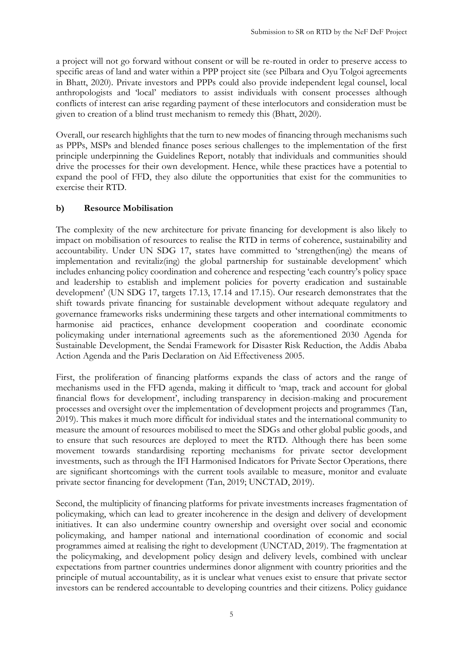a project will not go forward without consent or will be re-routed in order to preserve access to specific areas of land and water within a PPP project site (see Pilbara and Oyu Tolgoi agreements in Bhatt, 2020). Private investors and PPPs could also provide independent legal counsel, local anthropologists and 'local' mediators to assist individuals with consent processes although conflicts of interest can arise regarding payment of these interlocutors and consideration must be given to creation of a blind trust mechanism to remedy this (Bhatt, 2020).

Overall, our research highlights that the turn to new modes of financing through mechanisms such as PPPs, MSPs and blended finance poses serious challenges to the implementation of the first principle underpinning the Guidelines Report, notably that individuals and communities should drive the processes for their own development. Hence, while these practices have a potential to expand the pool of FFD, they also dilute the opportunities that exist for the communities to exercise their RTD.

## **b) Resource Mobilisation**

The complexity of the new architecture for private financing for development is also likely to impact on mobilisation of resources to realise the RTD in terms of coherence, sustainability and accountability. Under UN SDG 17, states have committed to 'strengthen(ing) the means of implementation and revitaliz(ing) the global partnership for sustainable development' which includes enhancing policy coordination and coherence and respecting 'each country's policy space and leadership to establish and implement policies for poverty eradication and sustainable development' (UN SDG 17, targets 17.13, 17.14 and 17.15). Our research demonstrates that the shift towards private financing for sustainable development without adequate regulatory and governance frameworks risks undermining these targets and other international commitments to harmonise aid practices, enhance development cooperation and coordinate economic policymaking under international agreements such as the aforementioned 2030 Agenda for Sustainable Development, the Sendai Framework for Disaster Risk Reduction, the Addis Ababa Action Agenda and the Paris Declaration on Aid Effectiveness 2005.

First, the proliferation of financing platforms expands the class of actors and the range of mechanisms used in the FFD agenda, making it difficult to 'map, track and account for global financial flows for development', including transparency in decision-making and procurement processes and oversight over the implementation of development projects and programmes (Tan, 2019). This makes it much more difficult for individual states and the international community to measure the amount of resources mobilised to meet the SDGs and other global public goods, and to ensure that such resources are deployed to meet the RTD. Although there has been some movement towards standardising reporting mechanisms for private sector development investments, such as through the IFI Harmonised Indicators for Private Sector Operations, there are significant shortcomings with the current tools available to measure, monitor and evaluate private sector financing for development (Tan, 2019; UNCTAD, 2019).

Second, the multiplicity of financing platforms for private investments increases fragmentation of policymaking, which can lead to greater incoherence in the design and delivery of development initiatives. It can also undermine country ownership and oversight over social and economic policymaking, and hamper national and international coordination of economic and social programmes aimed at realising the right to development (UNCTAD, 2019). The fragmentation at the policymaking, and development policy design and delivery levels, combined with unclear expectations from partner countries undermines donor alignment with country priorities and the principle of mutual accountability, as it is unclear what venues exist to ensure that private sector investors can be rendered accountable to developing countries and their citizens. Policy guidance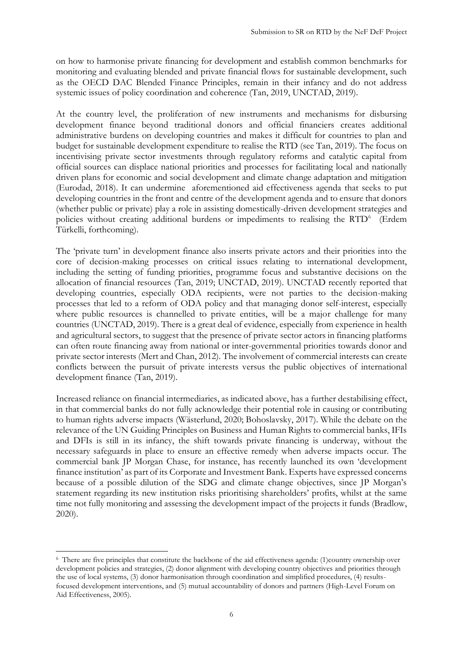on how to harmonise private financing for development and establish common benchmarks for monitoring and evaluating blended and private financial flows for sustainable development, such as the OECD DAC Blended Finance Principles, remain in their infancy and do not address systemic issues of policy coordination and coherence (Tan, 2019, UNCTAD, 2019).

At the country level, the proliferation of new instruments and mechanisms for disbursing development finance beyond traditional donors and official financiers creates additional administrative burdens on developing countries and makes it difficult for countries to plan and budget for sustainable development expenditure to realise the RTD (see Tan, 2019). The focus on incentivising private sector investments through regulatory reforms and catalytic capital from official sources can displace national priorities and processes for facilitating local and nationally driven plans for economic and social development and climate change adaptation and mitigation (Eurodad, 2018). It can undermine aforementioned aid effectiveness agenda that seeks to put developing countries in the front and centre of the development agenda and to ensure that donors (whether public or private) play a role in assisting domestically-driven development strategies and policies without creating additional burdens or impediments to realising the RTD<sup>6</sup> (Erdem Türkelli, forthcoming).

The 'private turn' in development finance also inserts private actors and their priorities into the core of decision-making processes on critical issues relating to international development, including the setting of funding priorities, programme focus and substantive decisions on the allocation of financial resources (Tan, 2019; UNCTAD, 2019). UNCTAD recently reported that developing countries, especially ODA recipients, were not parties to the decision-making processes that led to a reform of ODA policy and that managing donor self-interest, especially where public resources is channelled to private entities, will be a major challenge for many countries (UNCTAD, 2019). There is a great deal of evidence, especially from experience in health and agricultural sectors, to suggest that the presence of private sector actors in financing platforms can often route financing away from national or inter-governmental priorities towards donor and private sector interests (Mert and Chan, 2012). The involvement of commercial interests can create conflicts between the pursuit of private interests versus the public objectives of international development finance (Tan, 2019).

Increased reliance on financial intermediaries, as indicated above, has a further destabilising effect, in that commercial banks do not fully acknowledge their potential role in causing or contributing to human rights adverse impacts (Wästerlund, 2020; Bohoslavsky, 2017). While the debate on the relevance of the UN Guiding Principles on Business and Human Rights to commercial banks, IFIs and DFIs is still in its infancy, the shift towards private financing is underway, without the necessary safeguards in place to ensure an effective remedy when adverse impacts occur. The commercial bank JP Morgan Chase, for instance, has recently launched its own 'development finance institution' as part of its Corporate and Investment Bank. Experts have expressed concerns because of a possible dilution of the SDG and climate change objectives, since JP Morgan's statement regarding its new institution risks prioritising shareholders' profits, whilst at the same time not fully monitoring and assessing the development impact of the projects it funds (Bradlow, 2020).

<sup>6</sup> There are five principles that constitute the backbone of the aid effectiveness agenda: (1)country ownership over development policies and strategies, (2) donor alignment with developing country objectives and priorities through the use of local systems, (3) donor harmonisation through coordination and simplified procedures, (4) resultsfocused development interventions, and (5) mutual accountability of donors and partners (High-Level Forum on Aid Effectiveness, 2005).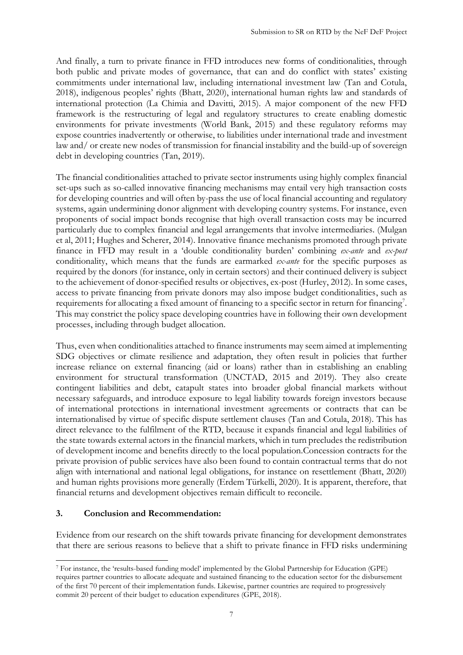And finally, a turn to private finance in FFD introduces new forms of conditionalities, through both public and private modes of governance, that can and do conflict with states' existing commitments under international law, including international investment law (Tan and Cotula, 2018), indigenous peoples' rights (Bhatt, 2020), international human rights law and standards of international protection (La Chimia and Davitti, 2015). A major component of the new FFD framework is the restructuring of legal and regulatory structures to create enabling domestic environments for private investments (World Bank, 2015) and these regulatory reforms may expose countries inadvertently or otherwise, to liabilities under international trade and investment law and/ or create new nodes of transmission for financial instability and the build-up of sovereign debt in developing countries (Tan, 2019).

The financial conditionalities attached to private sector instruments using highly complex financial set-ups such as so-called innovative financing mechanisms may entail very high transaction costs for developing countries and will often by-pass the use of local financial accounting and regulatory systems, again undermining donor alignment with developing country systems. For instance, even proponents of social impact bonds recognise that high overall transaction costs may be incurred particularly due to complex financial and legal arrangements that involve intermediaries. (Mulgan et al, 2011; Hughes and Scherer, 2014). Innovative finance mechanisms promoted through private finance in FFD may result in a 'double conditionality burden' combining *ex-ante* and *ex-post* conditionality, which means that the funds are earmarked *ex-ante* for the specific purposes as required by the donors (for instance, only in certain sectors) and their continued delivery is subject to the achievement of donor-specified results or objectives, ex-post (Hurley, 2012). In some cases, access to private financing from private donors may also impose budget conditionalities, such as requirements for allocating a fixed amount of financing to a specific sector in return for financing<sup>7</sup>. This may constrict the policy space developing countries have in following their own development processes, including through budget allocation.

Thus, even when conditionalities attached to finance instruments may seem aimed at implementing SDG objectives or climate resilience and adaptation, they often result in policies that further increase reliance on external financing (aid or loans) rather than in establishing an enabling environment for structural transformation (UNCTAD, 2015 and 2019). They also create contingent liabilities and debt, catapult states into broader global financial markets without necessary safeguards, and introduce exposure to legal liability towards foreign investors because of international protections in international investment agreements or contracts that can be internationalised by virtue of specific dispute settlement clauses (Tan and Cotula, 2018). This has direct relevance to the fulfilment of the RTD, because it expands financial and legal liabilities of the state towards external actors in the financial markets, which in turn precludes the redistribution of development income and benefits directly to the local population.Concession contracts for the private provision of public services have also been found to contain contractual terms that do not align with international and national legal obligations, for instance on resettlement (Bhatt, 2020) and human rights provisions more generally (Erdem Türkelli, 2020). It is apparent, therefore, that financial returns and development objectives remain difficult to reconcile.

#### **3. Conclusion and Recommendation:**

Evidence from our research on the shift towards private financing for development demonstrates that there are serious reasons to believe that a shift to private finance in FFD risks undermining

<sup>7</sup> For instance, the 'results-based funding model' implemented by the Global Partnership for Education (GPE) requires partner countries to allocate adequate and sustained financing to the education sector for the disbursement of the first 70 percent of their implementation funds. Likewise, partner countries are required to progressively commit 20 percent of their budget to education expenditures (GPE, 2018).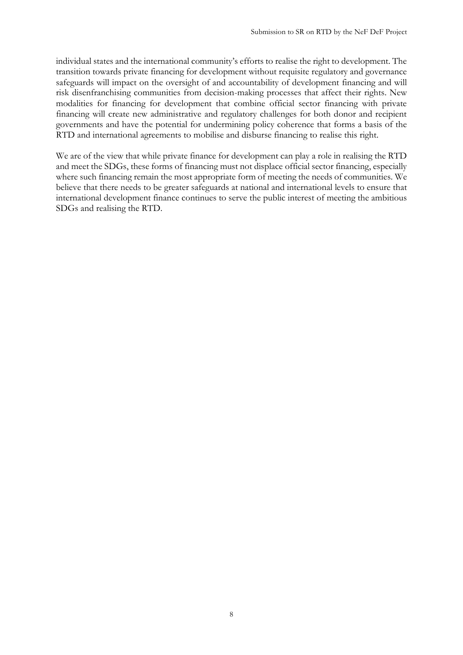individual states and the international community's efforts to realise the right to development. The transition towards private financing for development without requisite regulatory and governance safeguards will impact on the oversight of and accountability of development financing and will risk disenfranchising communities from decision-making processes that affect their rights. New modalities for financing for development that combine official sector financing with private financing will create new administrative and regulatory challenges for both donor and recipient governments and have the potential for undermining policy coherence that forms a basis of the RTD and international agreements to mobilise and disburse financing to realise this right.

We are of the view that while private finance for development can play a role in realising the RTD and meet the SDGs, these forms of financing must not displace official sector financing, especially where such financing remain the most appropriate form of meeting the needs of communities. We believe that there needs to be greater safeguards at national and international levels to ensure that international development finance continues to serve the public interest of meeting the ambitious SDGs and realising the RTD.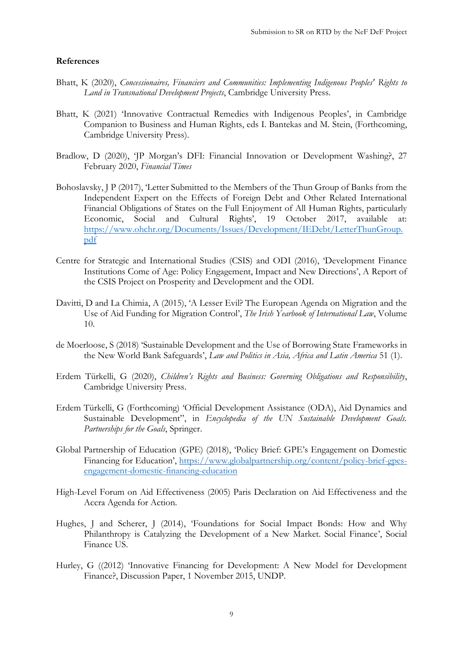#### **References**

- Bhatt, K (2020), *Concessionaires, Financiers and Communities: Implementing Indigenous Peoples' Rights to Land in Transnational Development Projects*, Cambridge University Press.
- Bhatt, K (2021) 'Innovative Contractual Remedies with Indigenous Peoples', in Cambridge Companion to Business and Human Rights, eds I. Bantekas and M. Stein, (Forthcoming, Cambridge University Press).
- Bradlow, D (2020), 'JP Morgan's DFI: Financial Innovation or Development Washing?, 27 February 2020, *Financial Times*
- Bohoslavsky, J P (2017), 'Letter Submitted to the Members of the Thun Group of Banks from the Independent Expert on the Effects of Foreign Debt and Other Related International Financial Obligations of States on the Full Enjoyment of All Human Rights, particularly Economic, Social and Cultural Rights', 19 October 2017, available at: [https://www.ohchr.org/Documents/Issues/Development/IEDebt/LetterThunGroup.](https://www.ohchr.org/Documents/Issues/Development/IEDebt/LetterThunGroup.pdf) [pdf](https://www.ohchr.org/Documents/Issues/Development/IEDebt/LetterThunGroup.pdf)
- Centre for Strategic and International Studies (CSIS) and ODI (2016), 'Development Finance Institutions Come of Age: Policy Engagement, Impact and New Directions', A Report of the CSIS Project on Prosperity and Development and the ODI.
- Davitti, D and La Chimia, A (2015), 'A Lesser Evil? The European Agenda on Migration and the Use of Aid Funding for Migration Control', *The Irish Yearbook of International Law*, Volume 10.
- de Moerloose, S (2018) 'Sustainable Development and the Use of Borrowing State Frameworks in the New World Bank Safeguards', *Law and Politics in Asia, Africa and Latin America* 51 (1).
- Erdem Türkelli, G (2020), *Children's Rights and Business: Governing Obligations and Responsibility*, Cambridge University Press.
- Erdem Türkelli, G (Forthcoming) 'Official Development Assistance (ODA), Aid Dynamics and Sustainable Development", in *Encyclopedia of the UN Sustainable Development Goals. Partnerships for the Goals*, Springer.
- Global Partnership of Education (GPE) (2018), 'Policy Brief: GPE's Engagement on Domestic Financing for Education', [https://www.globalpartnership.org/content/policy-brief-gpes](https://www.globalpartnership.org/content/policy-brief-gpes-engagement-domestic-financing-education)[engagement-domestic-financing-education](https://www.globalpartnership.org/content/policy-brief-gpes-engagement-domestic-financing-education)
- High-Level Forum on Aid Effectiveness (2005) Paris Declaration on Aid Effectiveness and the Accra Agenda for Action.
- Hughes, J and Scherer, J (2014), 'Foundations for Social Impact Bonds: How and Why Philanthropy is Catalyzing the Development of a New Market. Social Finance', Social Finance US.
- Hurley, G ((2012) 'Innovative Financing for Development: A New Model for Development Finance?, Discussion Paper, 1 November 2015, UNDP.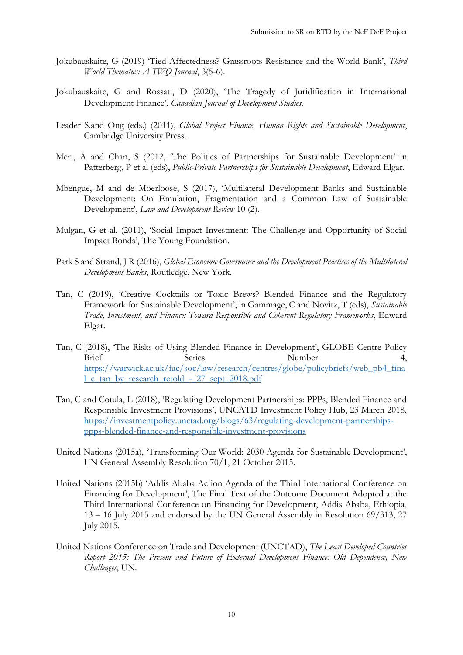- Jokubauskaite, G (2019) 'Tied Affectedness? Grassroots Resistance and the World Bank', *Third World Thematics: A TWQ Journal*, 3(5-6).
- Jokubauskaite, G and Rossati, D (2020), 'The Tragedy of Juridification in International Development Finance', *Canadian Journal of Development Studies*.
- Leader S.and Ong (eds.) (2011), *Global Project Finance, Human Rights and Sustainable Development*, Cambridge University Press.
- Mert, A and Chan, S (2012, 'The Politics of Partnerships for Sustainable Development' in Patterberg, P et al (eds), *Public-Private Partnerships for Sustainable Development*, Edward Elgar.
- Mbengue, M and de Moerloose, S (2017), 'Multilateral Development Banks and Sustainable Development: On Emulation, Fragmentation and a Common Law of Sustainable Development', *Law and Development Review* 10 (2).
- Mulgan, G et al. (2011), 'Social Impact Investment: The Challenge and Opportunity of Social Impact Bonds', The Young Foundation.
- Park S and Strand, J R (2016), *Global Economic Governance and the Development Practices of the Multilateral Development Banks*, Routledge, New York.
- Tan, C (2019), 'Creative Cocktails or Toxic Brews? Blended Finance and the Regulatory Framework for Sustainable Development', in Gammage, C and Novitz, T (eds), *Sustainable Trade, Investment, and Finance: Toward Responsible and Coherent Regulatory Frameworks*, Edward Elgar.
- Tan, C (2018), 'The Risks of Using Blended Finance in Development', GLOBE Centre Policy Brief Series Series Number 4, [https://warwick.ac.uk/fac/soc/law/research/centres/globe/policybriefs/web\\_pb4\\_fina](https://warwick.ac.uk/fac/soc/law/research/centres/globe/policybriefs/web_pb4_final_c_tan_by_research_retold_-_27_sept_2018.pdf) [l\\_c\\_tan\\_by\\_research\\_retold\\_-\\_27\\_sept\\_2018.pdf](https://warwick.ac.uk/fac/soc/law/research/centres/globe/policybriefs/web_pb4_final_c_tan_by_research_retold_-_27_sept_2018.pdf)
- Tan, C and Cotula, L (2018), 'Regulating Development Partnerships: PPPs, Blended Finance and Responsible Investment Provisions', UNCATD Investment Policy Hub, 23 March 2018, [https://investmentpolicy.unctad.org/blogs/63/regulating-development-partnerships](https://investmentpolicy.unctad.org/blogs/63/regulating-development-partnerships-ppps-blended-finance-and-responsible-investment-provisions)[ppps-blended-finance-and-responsible-investment-provisions](https://investmentpolicy.unctad.org/blogs/63/regulating-development-partnerships-ppps-blended-finance-and-responsible-investment-provisions)
- United Nations (2015a), 'Transforming Our World: 2030 Agenda for Sustainable Development', UN General Assembly Resolution 70/1, 21 October 2015.
- United Nations (2015b) 'Addis Ababa Action Agenda of the Third International Conference on Financing for Development', The Final Text of the Outcome Document Adopted at the Third International Conference on Financing for Development, Addis Ababa, Ethiopia, 13 – 16 July 2015 and endorsed by the UN General Assembly in Resolution 69/313, 27 July 2015.
- United Nations Conference on Trade and Development (UNCTAD), *The Least Developed Countries Report 2015: The Present and Future of External Development Finance: Old Dependence, New Challenges*, UN.